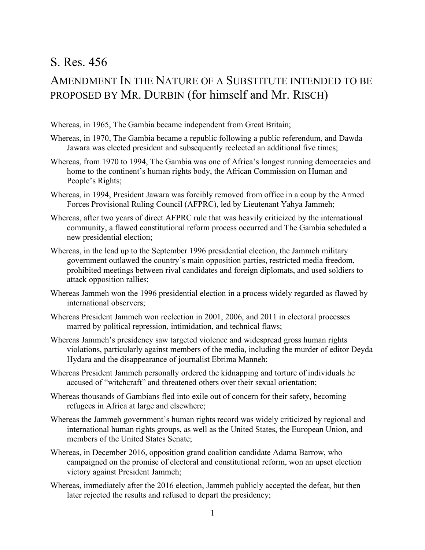## S. Res. 456

## AMENDMENT IN THE NATURE OF A SUBSTITUTE INTENDED TO BE PROPOSED BY MR. DURBIN (for himself and Mr. RISCH)

Whereas, in 1965, The Gambia became independent from Great Britain;

- Whereas, in 1970, The Gambia became a republic following a public referendum, and Dawda Jawara was elected president and subsequently reelected an additional five times;
- Whereas, from 1970 to 1994, The Gambia was one of Africa's longest running democracies and home to the continent's human rights body, the African Commission on Human and People's Rights;
- Whereas, in 1994, President Jawara was forcibly removed from office in a coup by the Armed Forces Provisional Ruling Council (AFPRC), led by Lieutenant Yahya Jammeh;
- Whereas, after two years of direct AFPRC rule that was heavily criticized by the international community, a flawed constitutional reform process occurred and The Gambia scheduled a new presidential election;
- Whereas, in the lead up to the September 1996 presidential election, the Jammeh military government outlawed the country's main opposition parties, restricted media freedom, prohibited meetings between rival candidates and foreign diplomats, and used soldiers to attack opposition rallies;
- Whereas Jammeh won the 1996 presidential election in a process widely regarded as flawed by international observers;
- Whereas President Jammeh won reelection in 2001, 2006, and 2011 in electoral processes marred by political repression, intimidation, and technical flaws;
- Whereas Jammeh's presidency saw targeted violence and widespread gross human rights violations, particularly against members of the media, including the murder of editor Deyda Hydara and the disappearance of journalist Ebrima Manneh;
- Whereas President Jammeh personally ordered the kidnapping and torture of individuals he accused of "witchcraft" and threatened others over their sexual orientation;
- Whereas thousands of Gambians fled into exile out of concern for their safety, becoming refugees in Africa at large and elsewhere;
- Whereas the Jammeh government's human rights record was widely criticized by regional and international human rights groups, as well as the United States, the European Union, and members of the United States Senate;
- Whereas, in December 2016, opposition grand coalition candidate Adama Barrow, who campaigned on the promise of electoral and constitutional reform, won an upset election victory against President Jammeh;
- Whereas, immediately after the 2016 election, Jammeh publicly accepted the defeat, but then later rejected the results and refused to depart the presidency;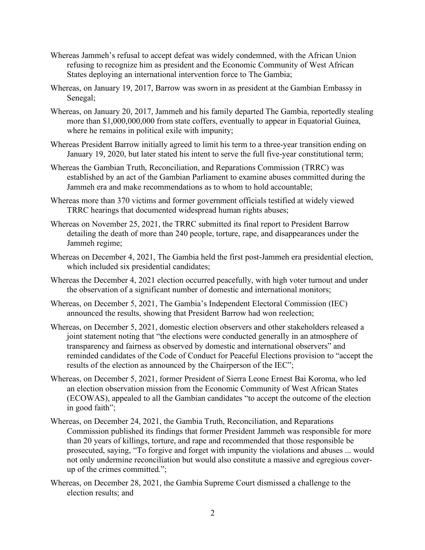- Whereas Jammeh's refusal to accept defeat was widely condemned, with the African Union refusing to recognize him as president and the Economic Community of West African States deploying an international intervention force to The Gambia;
- Whereas, on January 19, 2017, Barrow was sworn in as president at the Gambian Embassy in Senegal;
- Whereas, on January 20, 2017, Jammeh and his family departed The Gambia, reportedly stealing more than \$1,000,000,000 from state coffers, eventually to appear in Equatorial Guinea, where he remains in political exile with impunity;
- Whereas President Barrow initially agreed to limit his term to a three-year transition ending on January 19, 2020, but later stated his intent to serve the full five-year constitutional term;
- Whereas the Gambian Truth, Reconciliation, and Reparations Commission (TRRC) was established by an act of the Gambian Parliament to examine abuses committed during the Jammeh era and make recommendations as to whom to hold accountable;
- Whereas more than 370 victims and former government officials testified at widely viewed TRRC hearings that documented widespread human rights abuses;
- Whereas on November 25, 2021, the TRRC submitted its final report to President Barrow detailing the death of more than 240 people, torture, rape, and disappearances under the Jammeh regime;
- Whereas on December 4, 2021, The Gambia held the first post-Jammeh era presidential election, which included six presidential candidates;
- Whereas the December 4, 2021 election occurred peacefully, with high voter turnout and under the observation of a significant number of domestic and international monitors;
- Whereas, on December 5, 2021, The Gambia's Independent Electoral Commission (IEC) announced the results, showing that President Barrow had won reelection;
- Whereas, on December 5, 2021, domestic election observers and other stakeholders released a joint statement noting that "the elections were conducted generally in an atmosphere of transparency and fairness as observed by domestic and international observers" and reminded candidates of the Code of Conduct for Peaceful Elections provision to "accept the results of the election as announced by the Chairperson of the IEC";
- Whereas, on December 5, 2021, former President of Sierra Leone Ernest Bai Koroma, who led an election observation mission from the Economic Community of West African States (ECOWAS), appealed to all the Gambian candidates "to accept the outcome of the election in good faith";
- Whereas, on December 24, 2021, the Gambia Truth, Reconciliation, and Reparations Commission published its findings that former President Jammeh was responsible for more than 20 years of killings, torture, and rape and recommended that those responsible be prosecuted, saying, "To forgive and forget with impunity the violations and abuses ... would not only undermine reconciliation but would also constitute a massive and egregious coverup of the crimes committed.";
- Whereas, on December 28, 2021, the Gambia Supreme Court dismissed a challenge to the election results; and